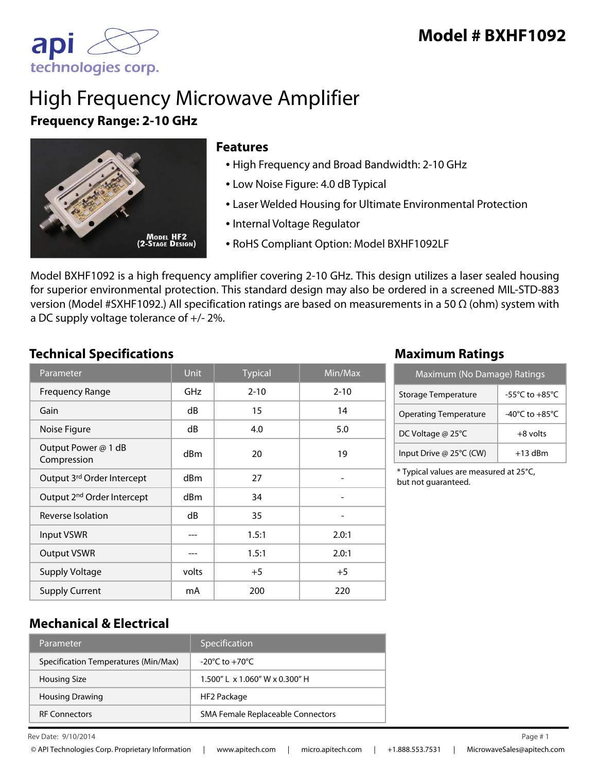

# High Frequency Microwave Amplifier **Frequency Range: 2-10 GHz**



### **Features**

- High Frequency and Broad Bandwidth: 2-10 GHz
- Low Noise Figure: 4.0 dB Typical
- Laser Welded Housing for Ultimate Environmental Protection
- Internal Voltage Regulator
- RoHS Compliant Option: Model BXHF1092LF

Model BXHF1092 is a high frequency amplifier covering 2-10 GHz. This design utilizes a laser sealed housing for superior environmental protection. This standard design may also be ordered in a screened MIL-STD-883 version (Model #SXHF1092.) All specification ratings are based on measurements in a 50 Ω (ohm) system with a DC supply voltage tolerance of +/- 2%.

## **Technical Specifications Maximum Ratings**

| Parameter                              | <b>Unit</b> | <b>Typical</b> | $\overline{\textsf{Min}/\textsf{Max}}$ |
|----------------------------------------|-------------|----------------|----------------------------------------|
| <b>Frequency Range</b>                 | GHz         | $2 - 10$       | $2 - 10$                               |
| Gain                                   | dB          | 15             | 14                                     |
| Noise Figure                           | dB          | 4.0            | 5.0                                    |
| Output Power @ 1 dB<br>Compression     | dBm         | 20             | 19                                     |
| Output 3rd Order Intercept             | dBm         | 27             |                                        |
| Output 2 <sup>nd</sup> Order Intercept | dBm         | 34             |                                        |
| Reverse Isolation                      | dB          | 35             |                                        |
| <b>Input VSWR</b>                      |             | 1.5:1          | 2.0:1                                  |
| <b>Output VSWR</b>                     |             | 1.5:1          | 2.0:1                                  |
| <b>Supply Voltage</b>                  | volts       | $+5$           | $+5$                                   |
| <b>Supply Current</b>                  | mA          | 200            | 220                                    |

| Maximum (No Damage) Ratings  |                                      |  |
|------------------------------|--------------------------------------|--|
| <b>Storage Temperature</b>   | -55 $^{\circ}$ C to +85 $^{\circ}$ C |  |
| <b>Operating Temperature</b> | $-40^{\circ}$ C to $+85^{\circ}$ C   |  |
| DC Voltage @ 25°C            | $+8$ volts                           |  |
| Input Drive @ 25°C (CW)      | $+13$ dBm                            |  |

\* Typical values are measured at 25°C, but not guaranteed.

## **Mechanical & Electrical**

| Parameter                            | Specification                        |
|--------------------------------------|--------------------------------------|
| Specification Temperatures (Min/Max) | $-20^{\circ}$ C to $+70^{\circ}$ C   |
| <b>Housing Size</b>                  | $1.500''$   x $1.060''$ W x 0.300" H |
| <b>Housing Drawing</b>               | HF2 Package                          |
| <b>RF Connectors</b>                 | SMA Female Replaceable Connectors    |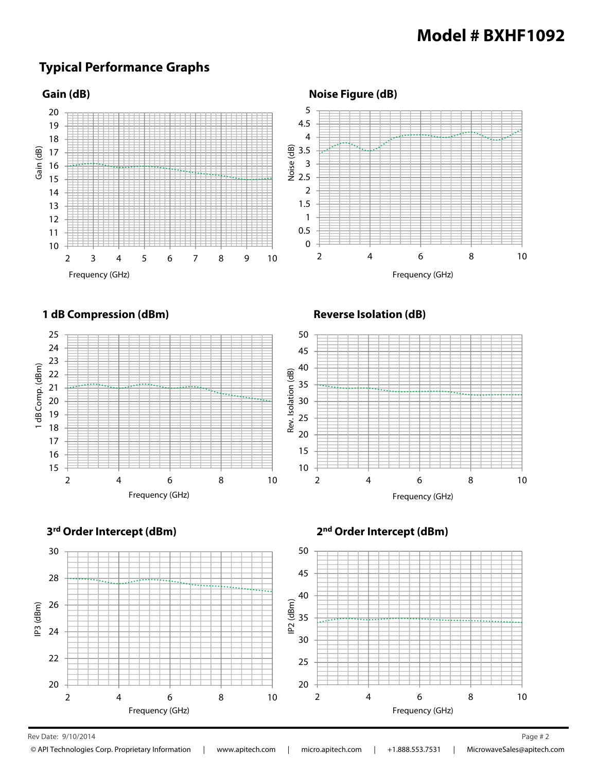## **Typical Performance Graphs**







Rev Date: 9/10/2014 Page # 2